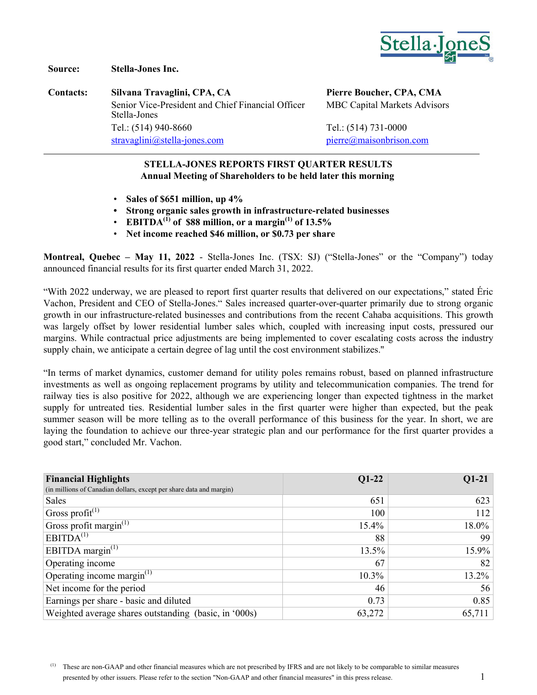

**Source: Stella-Jones Inc.**

**Contacts: Silvana Travaglini, CPA, CA Pierre Boucher, CPA, CMA** Senior Vice-President and Chief Financial Officer Stella-Jones Tel.: (514) 940-8660 Tel.: (514) 731-0000 [stravaglini@stella-jones.com](mailto:stravaglini@stella-jones.com) [pierre@maisonbrison.com](mailto:pierre@maisonbrison.com)

MBC Capital Markets Advisors

### **STELLA-JONES REPORTS FIRST QUARTER RESULTS Annual Meeting of Shareholders to be held later this morning**

- **Sales of \$651 million, up 4%**
- **• Strong organic sales growth in infrastructure-related businesses**
- **EBITDA<sup>(1)</sup> of \$88 million, or a margin**<sup>(1)</sup> of  $13.5\%$
- **Net income reached \$46 million, or \$0.73 per share**

**Montreal, Quebec – May 11, 2022** - Stella-Jones Inc. (TSX: SJ) ("Stella-Jones" or the "Company") today announced financial results for its first quarter ended March 31, 2022.

"With 2022 underway, we are pleased to report first quarter results that delivered on our expectations," stated Éric Vachon, President and CEO of Stella-Jones." Sales increased quarter-over-quarter primarily due to strong organic growth in our infrastructure-related businesses and contributions from the recent Cahaba acquisitions. This growth was largely offset by lower residential lumber sales which, coupled with increasing input costs, pressured our margins. While contractual price adjustments are being implemented to cover escalating costs across the industry supply chain, we anticipate a certain degree of lag until the cost environment stabilizes."

"In terms of market dynamics, customer demand for utility poles remains robust, based on planned infrastructure investments as well as ongoing replacement programs by utility and telecommunication companies. The trend for railway ties is also positive for 2022, although we are experiencing longer than expected tightness in the market supply for untreated ties. Residential lumber sales in the first quarter were higher than expected, but the peak summer season will be more telling as to the overall performance of this business for the year. In short, we are laying the foundation to achieve our three-year strategic plan and our performance for the first quarter provides a good start," concluded Mr. Vachon.

| <b>Financial Highlights</b>                                         | $Q1-22$  | $Q1-21$  |
|---------------------------------------------------------------------|----------|----------|
| (in millions of Canadian dollars, except per share data and margin) |          |          |
| Sales                                                               | 651      | 623      |
| Gross profit <sup>(1)</sup>                                         | 100      | 112      |
| Gross profit margin $^{(1)}$                                        | 15.4%    | 18.0%    |
| EBITDA <sup>(1)</sup>                                               | 88       | 99       |
| EBITDA margin $^{(1)}$                                              | 13.5%    | $15.9\%$ |
| Operating income                                                    | 67       | 82       |
| Operating income margin $^{(1)}$                                    | $10.3\%$ | $13.2\%$ |
| Net income for the period                                           | 46       | 56       |
| Earnings per share - basic and diluted                              | 0.73     | 0.85     |
| Weighted average shares outstanding (basic, in '000s)               | 63,272   | 65,711   |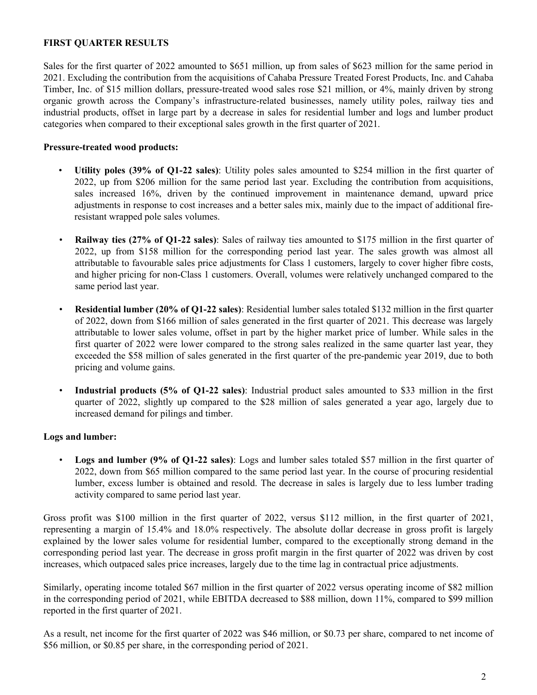### **FIRST QUARTER RESULTS**

Sales for the first quarter of 2022 amounted to \$651 million, up from sales of \$623 million for the same period in 2021. Excluding the contribution from the acquisitions of Cahaba Pressure Treated Forest Products, Inc. and Cahaba Timber, Inc. of \$15 million dollars, pressure-treated wood sales rose \$21 million, or 4%, mainly driven by strong organic growth across the Company's infrastructure-related businesses, namely utility poles, railway ties and industrial products, offset in large part by a decrease in sales for residential lumber and logs and lumber product categories when compared to their exceptional sales growth in the first quarter of 2021.

### **Pressure-treated wood products:**

- **Utility poles (39% of Q1-22 sales)**: Utility poles sales amounted to \$254 million in the first quarter of 2022, up from \$206 million for the same period last year. Excluding the contribution from acquisitions, sales increased 16%, driven by the continued improvement in maintenance demand, upward price adjustments in response to cost increases and a better sales mix, mainly due to the impact of additional fireresistant wrapped pole sales volumes.
- **Railway ties (27% of Q1-22 sales)**: Sales of railway ties amounted to \$175 million in the first quarter of 2022, up from \$158 million for the corresponding period last year. The sales growth was almost all attributable to favourable sales price adjustments for Class 1 customers, largely to cover higher fibre costs, and higher pricing for non-Class 1 customers. Overall, volumes were relatively unchanged compared to the same period last year.
- **Residential lumber (20% of Q1-22 sales)**: Residential lumber sales totaled \$132 million in the first quarter of 2022, down from \$166 million of sales generated in the first quarter of 2021. This decrease was largely attributable to lower sales volume, offset in part by the higher market price of lumber. While sales in the first quarter of 2022 were lower compared to the strong sales realized in the same quarter last year, they exceeded the \$58 million of sales generated in the first quarter of the pre-pandemic year 2019, due to both pricing and volume gains.
- **Industrial products (5% of Q1-22 sales)**: Industrial product sales amounted to \$33 million in the first quarter of 2022, slightly up compared to the \$28 million of sales generated a year ago, largely due to increased demand for pilings and timber.

### **Logs and lumber:**

• **Logs and lumber (9% of Q1-22 sales)**: Logs and lumber sales totaled \$57 million in the first quarter of 2022, down from \$65 million compared to the same period last year. In the course of procuring residential lumber, excess lumber is obtained and resold. The decrease in sales is largely due to less lumber trading activity compared to same period last year.

Gross profit was \$100 million in the first quarter of 2022, versus \$112 million, in the first quarter of 2021, representing a margin of 15.4% and 18.0% respectively. The absolute dollar decrease in gross profit is largely explained by the lower sales volume for residential lumber, compared to the exceptionally strong demand in the corresponding period last year. The decrease in gross profit margin in the first quarter of 2022 was driven by cost increases, which outpaced sales price increases, largely due to the time lag in contractual price adjustments.

Similarly, operating income totaled \$67 million in the first quarter of 2022 versus operating income of \$82 million in the corresponding period of 2021, while EBITDA decreased to \$88 million, down 11%, compared to \$99 million reported in the first quarter of 2021.

As a result, net income for the first quarter of 2022 was \$46 million, or \$0.73 per share, compared to net income of \$56 million, or \$0.85 per share, in the corresponding period of 2021.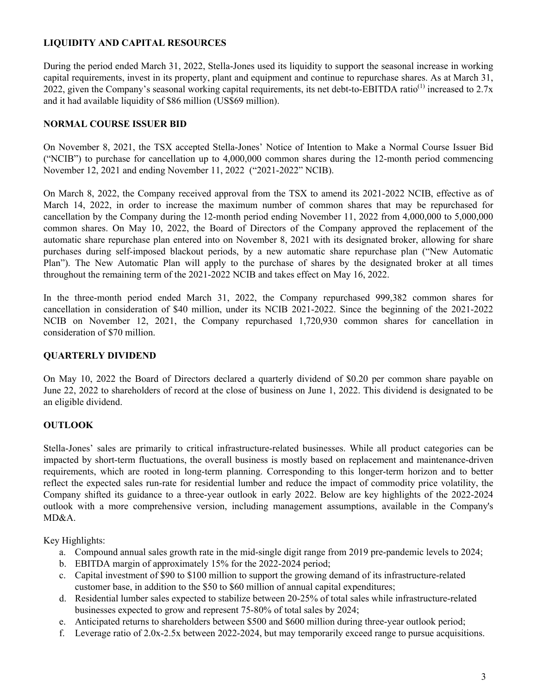## **LIQUIDITY AND CAPITAL RESOURCES**

During the period ended March 31, 2022, Stella-Jones used its liquidity to support the seasonal increase in working capital requirements, invest in its property, plant and equipment and continue to repurchase shares. As at March 31, 2022, given the Company's seasonal working capital requirements, its net debt-to-EBITDA ratio<sup>(1)</sup> increased to 2.7x and it had available liquidity of \$86 million (US\$69 million).

## **NORMAL COURSE ISSUER BID**

On November 8, 2021, the TSX accepted Stella-Jones' Notice of Intention to Make a Normal Course Issuer Bid ("NCIB") to purchase for cancellation up to 4,000,000 common shares during the 12-month period commencing November 12, 2021 and ending November 11, 2022 ("2021-2022" NCIB).

On March 8, 2022, the Company received approval from the TSX to amend its 2021-2022 NCIB, effective as of March 14, 2022, in order to increase the maximum number of common shares that may be repurchased for cancellation by the Company during the 12-month period ending November 11, 2022 from 4,000,000 to 5,000,000 common shares. On May 10, 2022, the Board of Directors of the Company approved the replacement of the automatic share repurchase plan entered into on November 8, 2021 with its designated broker, allowing for share purchases during self-imposed blackout periods, by a new automatic share repurchase plan ("New Automatic Plan"). The New Automatic Plan will apply to the purchase of shares by the designated broker at all times throughout the remaining term of the 2021-2022 NCIB and takes effect on May 16, 2022.

In the three-month period ended March 31, 2022, the Company repurchased 999,382 common shares for cancellation in consideration of \$40 million, under its NCIB 2021-2022. Since the beginning of the 2021-2022 NCIB on November 12, 2021, the Company repurchased 1,720,930 common shares for cancellation in consideration of \$70 million.

### **QUARTERLY DIVIDEND**

On May 10, 2022 the Board of Directors declared a quarterly dividend of \$0.20 per common share payable on June 22, 2022 to shareholders of record at the close of business on June 1, 2022. This dividend is designated to be an eligible dividend.

## **OUTLOOK**

Stella-Jones' sales are primarily to critical infrastructure-related businesses. While all product categories can be impacted by short-term fluctuations, the overall business is mostly based on replacement and maintenance-driven requirements, which are rooted in long-term planning. Corresponding to this longer-term horizon and to better reflect the expected sales run-rate for residential lumber and reduce the impact of commodity price volatility, the Company shifted its guidance to a three-year outlook in early 2022. Below are key highlights of the 2022-2024 outlook with a more comprehensive version, including management assumptions, available in the Company's MD&A.

Key Highlights:

- a. Compound annual sales growth rate in the mid-single digit range from 2019 pre-pandemic levels to 2024;
- b. EBITDA margin of approximately 15% for the 2022-2024 period;
- c. Capital investment of \$90 to \$100 million to support the growing demand of its infrastructure-related customer base, in addition to the \$50 to \$60 million of annual capital expenditures;
- d. Residential lumber sales expected to stabilize between 20-25% of total sales while infrastructure-related businesses expected to grow and represent 75-80% of total sales by 2024;
- e. Anticipated returns to shareholders between \$500 and \$600 million during three-year outlook period;
- f. Leverage ratio of 2.0x-2.5x between 2022-2024, but may temporarily exceed range to pursue acquisitions.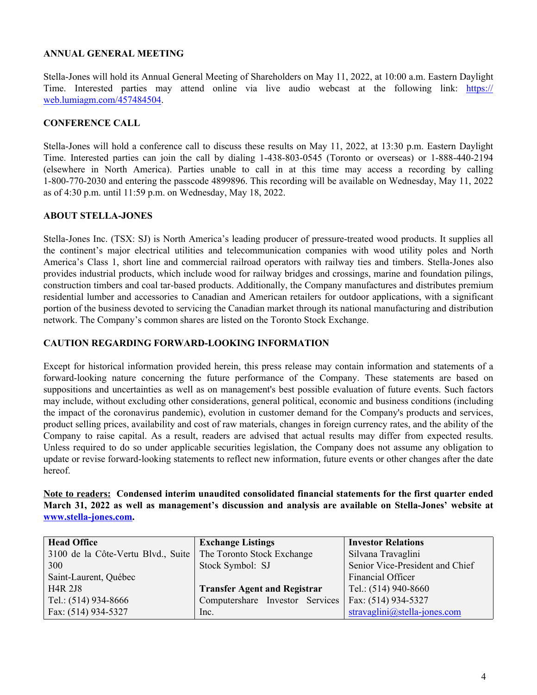## **ANNUAL GENERAL MEETING**

Stella-Jones will hold its Annual General Meeting of Shareholders on May 11, 2022, at 10:00 a.m. Eastern Daylight Time. Interested parties may attend online via live audio webcast at the following link: [https://](https://web.lumiagm.com/457484504) [web.lumiagm.com/457484504.](https://web.lumiagm.com/457484504)

## **CONFERENCE CALL**

Stella-Jones will hold a conference call to discuss these results on May 11, 2022, at 13:30 p.m. Eastern Daylight Time. Interested parties can join the call by dialing 1-438-803-0545 (Toronto or overseas) or 1-888-440-2194 (elsewhere in North America). Parties unable to call in at this time may access a recording by calling 1-800-770-2030 and entering the passcode 4899896. This recording will be available on Wednesday, May 11, 2022 as of 4:30 p.m. until 11:59 p.m. on Wednesday, May 18, 2022.

### **ABOUT STELLA-JONES**

Stella-Jones Inc. (TSX: SJ) is North America's leading producer of pressure-treated wood products. It supplies all the continent's major electrical utilities and telecommunication companies with wood utility poles and North America's Class 1, short line and commercial railroad operators with railway ties and timbers. Stella-Jones also provides industrial products, which include wood for railway bridges and crossings, marine and foundation pilings, construction timbers and coal tar-based products. Additionally, the Company manufactures and distributes premium residential lumber and accessories to Canadian and American retailers for outdoor applications, with a significant portion of the business devoted to servicing the Canadian market through its national manufacturing and distribution network. The Company's common shares are listed on the Toronto Stock Exchange.

### **CAUTION REGARDING FORWARD-LOOKING INFORMATION**

Except for historical information provided herein, this press release may contain information and statements of a forward-looking nature concerning the future performance of the Company. These statements are based on suppositions and uncertainties as well as on management's best possible evaluation of future events. Such factors may include, without excluding other considerations, general political, economic and business conditions (including the impact of the coronavirus pandemic), evolution in customer demand for the Company's products and services, product selling prices, availability and cost of raw materials, changes in foreign currency rates, and the ability of the Company to raise capital. As a result, readers are advised that actual results may differ from expected results. Unless required to do so under applicable securities legislation, the Company does not assume any obligation to update or revise forward-looking statements to reflect new information, future events or other changes after the date hereof.

**Note to readers: Condensed interim unaudited consolidated financial statements for the first quarter ended March 31, 2022 as well as management's discussion and analysis are available on Stella-Jones' website at [www.stella-jones.com.](http://www.stella-jones.com)**

| <b>Head Office</b>                                              | <b>Exchange Listings</b>            | <b>Investor Relations</b>       |
|-----------------------------------------------------------------|-------------------------------------|---------------------------------|
| 3100 de la Côte-Vertu Blvd., Suite   The Toronto Stock Exchange |                                     | Silvana Travaglini              |
| 300                                                             | Stock Symbol: SJ                    | Senior Vice-President and Chief |
| Saint-Laurent, Québec                                           |                                     | Financial Officer               |
| <b>H4R 2J8</b>                                                  | <b>Transfer Agent and Registrar</b> | Tel.: $(514)$ 940-8660          |
| Tel.: (514) 934-8666                                            | Computershare Investor Services     | Fax: (514) 934-5327             |
| Fax: (514) 934-5327                                             | Inc.                                | $stravaglini@stella-jones.com$  |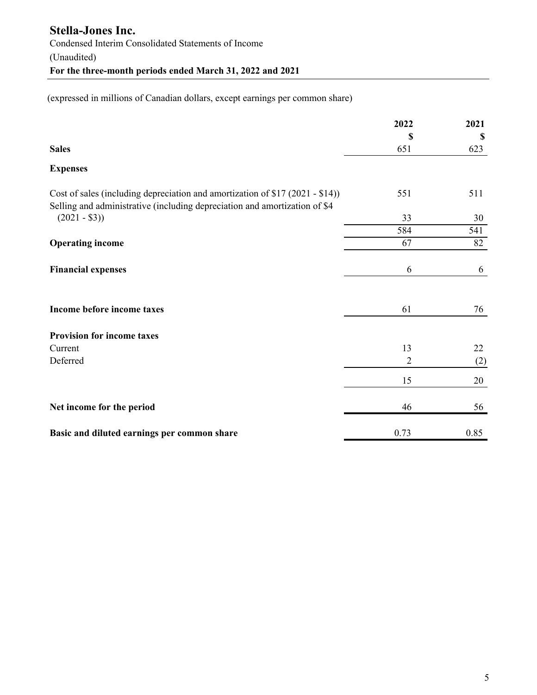(expressed in millions of Canadian dollars, except earnings per common share)

|                                                                                                                                                             | 2022           | 2021 |
|-------------------------------------------------------------------------------------------------------------------------------------------------------------|----------------|------|
|                                                                                                                                                             | \$             | \$   |
| <b>Sales</b>                                                                                                                                                | 651            | 623  |
| <b>Expenses</b>                                                                                                                                             |                |      |
| Cost of sales (including depreciation and amortization of \$17 (2021 - \$14))<br>Selling and administrative (including depreciation and amortization of \$4 | 551            | 511  |
| $(2021 - $3))$                                                                                                                                              | 33             | 30   |
|                                                                                                                                                             | 584            | 541  |
| <b>Operating income</b>                                                                                                                                     | 67             | 82   |
| <b>Financial expenses</b>                                                                                                                                   | 6              | 6    |
| Income before income taxes                                                                                                                                  | 61             | 76   |
| <b>Provision for income taxes</b>                                                                                                                           |                |      |
| Current                                                                                                                                                     | 13             | 22   |
| Deferred                                                                                                                                                    | $\overline{2}$ | (2)  |
|                                                                                                                                                             | 15             | 20   |
| Net income for the period                                                                                                                                   | 46             | 56   |
| Basic and diluted earnings per common share                                                                                                                 | 0.73           | 0.85 |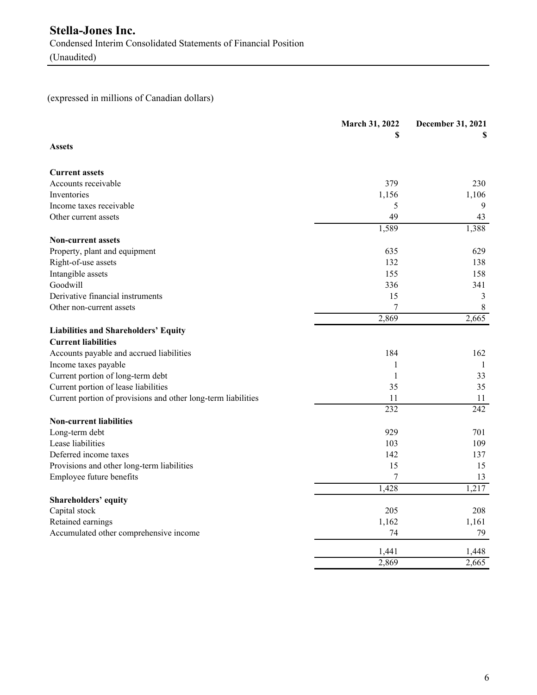# (expressed in millions of Canadian dollars)

|                                                               | March 31, 2022<br>S | December 31, 2021<br>S |
|---------------------------------------------------------------|---------------------|------------------------|
| <b>Assets</b>                                                 |                     |                        |
| <b>Current assets</b>                                         |                     |                        |
| Accounts receivable                                           | 379                 | 230                    |
| Inventories                                                   | 1,156               | 1,106                  |
| Income taxes receivable                                       | 5                   | 9                      |
| Other current assets                                          | 49                  | 43                     |
| <b>Non-current assets</b>                                     | 1,589               | 1,388                  |
| Property, plant and equipment                                 | 635                 | 629                    |
| Right-of-use assets                                           | 132                 | 138                    |
| Intangible assets                                             | 155                 | 158                    |
| Goodwill                                                      | 336                 | 341                    |
| Derivative financial instruments                              | 15                  | 3                      |
| Other non-current assets                                      | 7                   | $\,8\,$                |
|                                                               | 2,869               | 2,665                  |
| <b>Liabilities and Shareholders' Equity</b>                   |                     |                        |
| <b>Current liabilities</b>                                    |                     |                        |
| Accounts payable and accrued liabilities                      | 184                 | 162                    |
| Income taxes payable                                          | 1                   | -1                     |
| Current portion of long-term debt                             | $\mathbf{1}$        | 33                     |
| Current portion of lease liabilities                          | 35                  | 35                     |
| Current portion of provisions and other long-term liabilities | 11                  | 11                     |
|                                                               | $\overline{232}$    | 242                    |
| <b>Non-current liabilities</b>                                |                     |                        |
| Long-term debt                                                | 929                 | 701                    |
| Lease liabilities                                             | 103                 | 109                    |
| Deferred income taxes                                         | 142                 | 137                    |
| Provisions and other long-term liabilities                    | 15                  | 15                     |
| Employee future benefits                                      | 7                   | 13                     |
|                                                               | 1,428               | 1,217                  |
| Shareholders' equity                                          |                     |                        |
| Capital stock                                                 | 205                 | 208                    |
| Retained earnings                                             | 1,162               | 1,161                  |
| Accumulated other comprehensive income                        | 74                  | 79                     |
|                                                               | 1,441               | 1,448                  |
|                                                               | 2,869               | 2,665                  |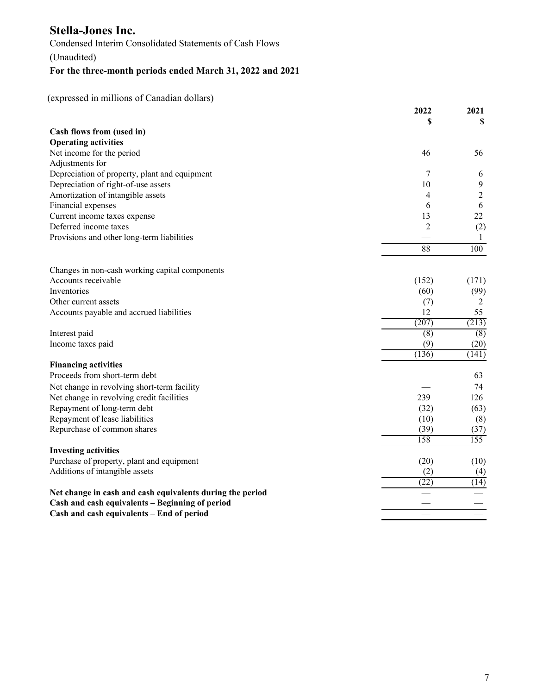(expressed in millions of Canadian dollars)

|                                                           | 2022             | 2021             |
|-----------------------------------------------------------|------------------|------------------|
|                                                           | \$               | S                |
| Cash flows from (used in)                                 |                  |                  |
| <b>Operating activities</b>                               |                  |                  |
| Net income for the period                                 | 46               | 56               |
| Adjustments for                                           |                  |                  |
| Depreciation of property, plant and equipment             | 7                | 6                |
| Depreciation of right-of-use assets                       | 10               | $\mathbf{9}$     |
| Amortization of intangible assets                         | 4                | $\overline{2}$   |
| Financial expenses                                        | 6                | 6                |
| Current income taxes expense                              | 13               | 22               |
| Deferred income taxes                                     | $\overline{2}$   | (2)              |
| Provisions and other long-term liabilities                |                  | 1                |
|                                                           | 88               | 100              |
|                                                           |                  |                  |
| Changes in non-cash working capital components            |                  |                  |
| Accounts receivable                                       | (152)            | (171)            |
| Inventories                                               | (60)             | (99)             |
| Other current assets                                      | (7)              | 2                |
| Accounts payable and accrued liabilities                  | 12               | 55               |
|                                                           | (207)            | (213)            |
| Interest paid                                             | $\overline{(8)}$ | $\overline{(8)}$ |
| Income taxes paid                                         | (9)              | (20)             |
|                                                           | (136)            | (141)            |
| <b>Financing activities</b>                               |                  |                  |
| Proceeds from short-term debt                             |                  | 63               |
| Net change in revolving short-term facility               |                  | 74               |
| Net change in revolving credit facilities                 | 239              | 126              |
| Repayment of long-term debt                               | (32)             | (63)             |
| Repayment of lease liabilities                            | (10)             | (8)              |
| Repurchase of common shares                               | (39)             | (37)             |
|                                                           | 158              | 155              |
| <b>Investing activities</b>                               |                  |                  |
| Purchase of property, plant and equipment                 | (20)             | (10)             |
| Additions of intangible assets                            | (2)              | (4)              |
|                                                           | (22)             | (14)             |
| Net change in cash and cash equivalents during the period |                  |                  |
| Cash and cash equivalents - Beginning of period           |                  |                  |
| Cash and cash equivalents - End of period                 |                  |                  |